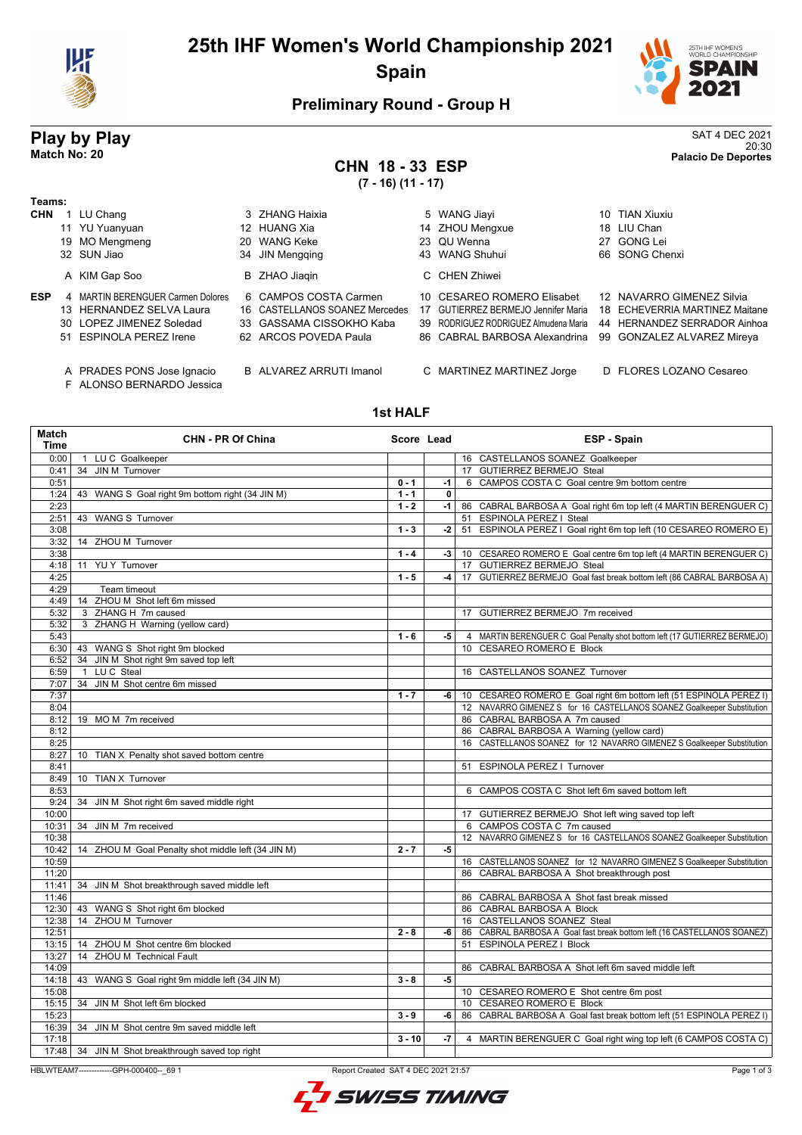

### **25th IHF Women's World Championship 2021 Spain**



### **Preliminary Round - Group H**

# **Play by Play**<br>Match No: 20<br>Palacio De Deportes

### **CHN 18 -(7 - 16) (11 - 17)**

| <b>CHN 18-33 ESP</b><br>$(7 - 16) (11 - 17)$ |                |  |                 |  | $U \cap T = U \cup U \cup U$<br>20:30<br><b>Palacio De Deportes</b> |  |  |
|----------------------------------------------|----------------|--|-----------------|--|---------------------------------------------------------------------|--|--|
|                                              | 3 ZHANG Haixia |  | 5 WANG Jiayi    |  | 10 TIAN Xiuxiu                                                      |  |  |
|                                              | 12 HUANG Xia   |  | 14 ZHOU Mengxue |  | 18 LIU Chan                                                         |  |  |
|                                              | 20 WANG Keke   |  | 23 QU Wenna     |  | 27 GONG Lei                                                         |  |  |

|  | <b>CHN</b> 1 LU Chang | 3 ZHANG Haixia  |
|--|-----------------------|-----------------|
|  | 11 YU Yuanyuan        | 12 HUANG Xia    |
|  | 19 MO Mengmeng        | 20 WANG Keke    |
|  | 32 SUN Jiao           | 34 JIN Mengging |
|  | A KIM Gap Soo         | B ZHAO Jiaqin   |

**Teams:**

- 
- 
- 
- 
- 
- F ALONSO BERNARDO Jessica

- 
- 

|            | A KIM Gap Soo                                                                                                        | B ZHAO Jiagin                                                                                                | C CHEN Zhiwei                                                                                                                                                                                       |                                                             |
|------------|----------------------------------------------------------------------------------------------------------------------|--------------------------------------------------------------------------------------------------------------|-----------------------------------------------------------------------------------------------------------------------------------------------------------------------------------------------------|-------------------------------------------------------------|
| <b>ESP</b> | 4 MARTIN BERENGUER Carmen Dolores<br>13 HERNANDEZ SELVA Laura<br>30 LOPEZ JIMENEZ Soledad<br>51 ESPINOLA PEREZ Irene | 6 CAMPOS COSTA Carmen<br>16 CASTELLANOS SOANEZ Mercedes<br>33 GASSAMA CISSOKHO Kaba<br>62 ARCOS POVEDA Paula | 10 CESAREO ROMERO Elisabet<br>17 GUTIERREZ BERMEJO Jennifer Maria<br>39 RODRIGUEZ RODRIGUEZ Almudena Maria 44 HERNANDEZ SERRADOR Ainhoa<br>86 CABRAL BARBOSA Alexandrina 99 GONZALEZ ALVAREZ Mireya | 12 NAVARRO GIMENEZ Silvia<br>18 ECHEVERRIA MARTINEZ Maitane |
|            | A PRADES PONS Jose Ignacio                                                                                           | <b>B</b> ALVAREZ ARRUTI Imanol                                                                               | C MARTINEZ MARTINEZ Jorge                                                                                                                                                                           | D FLORES LOZANO Cesareo                                     |

34 JIN Mengqing **43 WANG Shuhui 66 SONG Chenxi** 

- 
- 
- 
- 
- 

#### **1st HALF**

| Match<br>Time | <b>CHN - PR Of China</b>                           | Score Lead |             | <b>ESP - Spain</b>                                                        |
|---------------|----------------------------------------------------|------------|-------------|---------------------------------------------------------------------------|
| 0:00          | 1 LUC Goalkeeper                                   |            |             | 16 CASTELLANOS SOANEZ Goalkeeper                                          |
| 0:41          | 34 JIN M Turnover                                  |            |             | 17 GUTIERREZ BERMEJO Steal                                                |
| 0:51          |                                                    | $0 - 1$    | -1          | 6 CAMPOS COSTA C Goal centre 9m bottom centre                             |
| 1:24          | 43 WANG S Goal right 9m bottom right (34 JIN M)    | $1 - 1$    | $\mathbf 0$ |                                                                           |
| 2:23          |                                                    | $1 - 2$    | $-1$        | 86 CABRAL BARBOSA A Goal right 6m top left (4 MARTIN BERENGUER C)         |
| 2:51          | 43 WANG S Turnover                                 |            |             | 51 ESPINOLA PEREZ I Steal                                                 |
| 3:08          |                                                    | $1 - 3$    | $-2$        | 51 ESPINOLA PEREZ I Goal right 6m top left (10 CESAREO ROMERO E)          |
| 3:32          | 14 ZHOU M Turnover                                 |            |             |                                                                           |
| 3:38          |                                                    | $1 - 4$    | $-3$        | 10 CESAREO ROMERO E Goal centre 6m top left (4 MARTIN BERENGUER C)        |
| 4:18          | 11 YUY Turnover                                    |            |             | 17 GUTIERREZ BERMEJO Steal                                                |
| 4:25          |                                                    | $1 - 5$    | $-4$        | 17 GUTIERREZ BERMEJO Goal fast break bottom left (86 CABRAL BARBOSA A)    |
| 4:29          | Team timeout                                       |            |             |                                                                           |
| 4:49          | 14 ZHOU M Shot left 6m missed                      |            |             |                                                                           |
| 5:32          | 3 ZHANG H 7m caused                                |            |             | 17 GUTIERREZ BERMEJO 7m received                                          |
| 5:32          | 3 ZHANG H Warning (yellow card)                    |            |             |                                                                           |
| 5:43          |                                                    | $1 - 6$    | -5          | 4 MARTIN BERENGUER C Goal Penalty shot bottom left (17 GUTIERREZ BERMEJO) |
| 6:30          | 43 WANG S Shot right 9m blocked                    |            |             | 10 CESAREO ROMERO E Block                                                 |
| 6:52          | 34 JIN M Shot right 9m saved top left              |            |             |                                                                           |
| 6:59          | 1 LUC Steal                                        |            |             | 16 CASTELLANOS SOANEZ Turnover                                            |
| 7:07          | 34 JIN M Shot centre 6m missed                     |            |             |                                                                           |
| 7:37          |                                                    | $1 - 7$    |             | -6   10 CESAREO ROMERO E Goal right 6m bottom left (51 ESPINOLA PEREZ I)  |
| 8:04          |                                                    |            |             | 12 NAVARRO GIMENEZ S for 16 CASTELLANOS SOANEZ Goalkeeper Substitution    |
| 8:12          | 19 MO M 7m received                                |            |             | 86 CABRAL BARBOSA A 7m caused                                             |
| 8:12          |                                                    |            |             | 86 CABRAL BARBOSA A Warning (yellow card)                                 |
| 8:25          |                                                    |            |             | 16 CASTELLANOS SOANEZ for 12 NAVARRO GIMENEZ S Goalkeeper Substitution    |
| 8:27          | 10 TIAN X Penalty shot saved bottom centre         |            |             |                                                                           |
| 8:41          |                                                    |            |             | 51 ESPINOLA PEREZ I Turnover                                              |
| 8:49          | 10 TIAN X Turnover                                 |            |             |                                                                           |
| 8:53          |                                                    |            |             | 6 CAMPOS COSTA C Shot left 6m saved bottom left                           |
| 9:24          | 34 JIN M Shot right 6m saved middle right          |            |             |                                                                           |
| 10:00         |                                                    |            |             | 17 GUTIERREZ BERMEJO Shot left wing saved top left                        |
| 10:31         | 34 JIN M 7m received                               |            |             | 6 CAMPOS COSTA C 7m caused                                                |
| 10:38         |                                                    |            |             | 12 NAVARRO GIMENEZ S for 16 CASTELLANOS SOANEZ Goalkeeper Substitution    |
| 10:42         | 14 ZHOU M Goal Penalty shot middle left (34 JIN M) | $2 - 7$    | -5          |                                                                           |
| 10:59         |                                                    |            |             | 16 CASTELLANOS SOANEZ for 12 NAVARRO GIMENEZ S Goalkeeper Substitution    |
| 11:20         |                                                    |            |             | 86 CABRAL BARBOSA A Shot breakthrough post                                |
| 11:41         | 34 JIN M Shot breakthrough saved middle left       |            |             |                                                                           |
| 11:46         |                                                    |            |             | 86 CABRAL BARBOSA A Shot fast break missed                                |
| 12:30         | 43 WANG S Shot right 6m blocked                    |            |             | 86 CABRAL BARBOSA A Block                                                 |
| 12:38         | 14 ZHOU M Turnover                                 |            |             | 16 CASTELLANOS SOANEZ Steal                                               |
| 12:51         |                                                    | $2 - 8$    | -6          | 86 CABRAL BARBOSA A Goal fast break bottom left (16 CASTELLANOS SOANEZ)   |
| 13:15         | 14 ZHOU M Shot centre 6m blocked                   |            |             | 51 ESPINOLA PEREZ I Block                                                 |
| 13:27         | 14 ZHOU M Technical Fault                          |            |             |                                                                           |
| 14:09         |                                                    |            |             | 86 CABRAL BARBOSA A Shot left 6m saved middle left                        |
| 14:18         | 43 WANG S Goal right 9m middle left (34 JIN M)     | $3 - 8$    | -5          |                                                                           |
| 15:08         |                                                    |            |             | 10 CESAREO ROMERO E Shot centre 6m post                                   |
| 15:15         | 34 JIN M Shot left 6m blocked                      |            |             | 10 CESAREO ROMERO E Block                                                 |
| 15:23         |                                                    | $3 - 9$    | -6          | 86 CABRAL BARBOSA A Goal fast break bottom left (51 ESPINOLA PEREZ I)     |
| 16:39         | 34 JIN M Shot centre 9m saved middle left          |            |             |                                                                           |
| 17:18         |                                                    | $3 - 10$   | -7          | 4 MARTIN BERENGUER C Goal right wing top left (6 CAMPOS COSTA C)          |
| 17:48         | 34 JIN M Shot breakthrough saved top right         |            |             |                                                                           |
|               |                                                    |            |             |                                                                           |

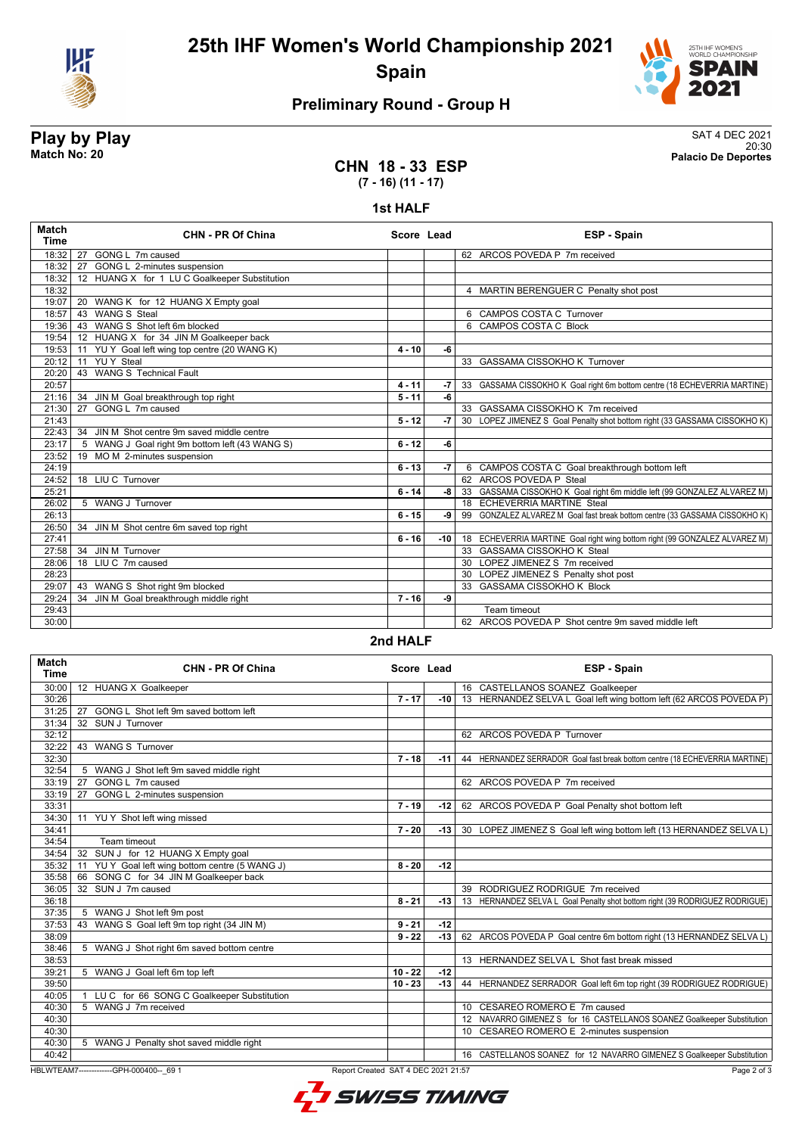

**25th IHF Women's World Championship 2021 Spain**



### **Preliminary Round - Group H**

**Play by Play** SAT 4 DEC 2021 20:30 **Match No: 20 Palacio De Deportes**

#### **CHN 18 - 33 ESP (7 - 16) (11 - 17)**

#### **1st HALF**

| Match<br><b>Time</b> | <b>CHN - PR Of China</b>                         | Score Lead |       | <b>ESP - Spain</b>                                                          |
|----------------------|--------------------------------------------------|------------|-------|-----------------------------------------------------------------------------|
| 18:32                | 27 GONG L 7m caused                              |            |       | 62 ARCOS POVEDA P 7m received                                               |
| 18:32                | 27 GONG L 2-minutes suspension                   |            |       |                                                                             |
| 18:32                | 12 HUANG X for 1 LU C Goalkeeper Substitution    |            |       |                                                                             |
| 18:32                |                                                  |            |       | 4 MARTIN BERENGUER C Penalty shot post                                      |
| 19:07                | 20 WANG K for 12 HUANG X Empty goal              |            |       |                                                                             |
| 18:57                | 43 WANG S Steal                                  |            |       | 6 CAMPOS COSTA C Turnover                                                   |
| 19:36                | 43 WANG S Shot left 6m blocked                   |            |       | 6 CAMPOS COSTA C Block                                                      |
| 19:54                | 12 HUANG X for 34 JIN M Goalkeeper back          |            |       |                                                                             |
| 19:53                | YU Y Goal left wing top centre (20 WANG K)<br>11 | $4 - 10$   | -6    |                                                                             |
| 20:12                | <b>YUY</b> Steal<br>11                           |            |       | 33 GASSAMA CISSOKHO K Turnover                                              |
| 20:20                | 43 WANG S Technical Fault                        |            |       |                                                                             |
| 20:57                |                                                  | $4 - 11$   | $-7$  | 33 GASSAMA CISSOKHO K Goal right 6m bottom centre (18 ECHEVERRIA MARTINE)   |
| 21:16                | JIN M Goal breakthrough top right<br>34          | $5 - 11$   | -6    |                                                                             |
| 21:30                | GONG L 7m caused<br>27                           |            |       | 33 GASSAMA CISSOKHO K 7m received                                           |
| 21:43                |                                                  | $5 - 12$   | $-7$  | 30 LOPEZ JIMENEZ S Goal Penalty shot bottom right (33 GASSAMA CISSOKHO K)   |
| 22:43                | 34 JIN M Shot centre 9m saved middle centre      |            |       |                                                                             |
| 23:17                | 5 WANG J Goal right 9m bottom left (43 WANG S)   | $6 - 12$   | -6    |                                                                             |
| 23:52                | 19 MO M 2-minutes suspension                     |            |       |                                                                             |
| 24:19                |                                                  | $6 - 13$   | $-7$  | 6 CAMPOS COSTA C Goal breakthrough bottom left                              |
| 24:52                | 18 LIU C Turnover                                |            |       | 62 ARCOS POVEDA P Steal                                                     |
| 25:21                |                                                  | $6 - 14$   | -8    | 33 GASSAMA CISSOKHO K Goal right 6m middle left (99 GONZALEZ ALVAREZ M)     |
| 26:02                | 5 WANG J Turnover                                |            |       | 18 ECHEVERRIA MARTINE Steal                                                 |
| 26:13                |                                                  | $6 - 15$   | ا و۔  | 99 GONZALEZ ALVAREZ M Goal fast break bottom centre (33 GASSAMA CISSOKHO K) |
| 26:50                | 34 JIN M Shot centre 6m saved top right          |            |       |                                                                             |
| 27:41                |                                                  | $6 - 16$   | $-10$ | 18 ECHEVERRIA MARTINE Goal right wing bottom right (99 GONZALEZ ALVAREZ M)  |
| 27:58                | 34 JIN M Turnover                                |            |       | 33 GASSAMA CISSOKHO K Steal                                                 |
| 28:06                | 18 LIU C 7m caused                               |            |       | 30 LOPEZ JIMENEZ S 7m received                                              |
| 28:23                |                                                  |            |       | 30 LOPEZ JIMENEZ S Penalty shot post                                        |
| 29:07                | 43 WANG S Shot right 9m blocked                  |            |       | 33 GASSAMA CISSOKHO K Block                                                 |
| 29:24                | JIN M Goal breakthrough middle right<br>34       | $7 - 16$   | -9    |                                                                             |
| 29:43                |                                                  |            |       | Team timeout                                                                |
| 30:00                |                                                  |            |       | 62 ARCOS POVEDA P Shot centre 9m saved middle left                          |

#### **2nd HALF**

| <b>Match</b><br><b>Time</b>                                                                    | <b>CHN - PR Of China</b>                                   | Score Lead |       | <b>ESP - Spain</b>                                                          |  |  |  |  |
|------------------------------------------------------------------------------------------------|------------------------------------------------------------|------------|-------|-----------------------------------------------------------------------------|--|--|--|--|
| 30:00                                                                                          | 12 HUANG X Goalkeeper                                      |            |       | 16 CASTELLANOS SOANEZ Goalkeeper                                            |  |  |  |  |
| 30:26                                                                                          |                                                            | $7 - 17$   | $-10$ | 13 HERNANDEZ SELVA L Goal left wing bottom left (62 ARCOS POVEDA P)         |  |  |  |  |
| 31:25                                                                                          | 27 GONG L Shot left 9m saved bottom left                   |            |       |                                                                             |  |  |  |  |
| 31:34                                                                                          | 32 SUN J Turnover                                          |            |       |                                                                             |  |  |  |  |
| 32:12                                                                                          |                                                            |            |       | 62 ARCOS POVEDA P Turnover                                                  |  |  |  |  |
| 32:22                                                                                          | 43 WANG S Turnover                                         |            |       |                                                                             |  |  |  |  |
| 32:30                                                                                          |                                                            | $7 - 18$   | $-11$ | 44 HERNANDEZ SERRADOR Goal fast break bottom centre (18 ECHEVERRIA MARTINE) |  |  |  |  |
| 32:54                                                                                          | 5 WANG J Shot left 9m saved middle right                   |            |       |                                                                             |  |  |  |  |
| 33:19                                                                                          | GONG L 7m caused<br>27                                     |            |       | 62 ARCOS POVEDA P 7m received                                               |  |  |  |  |
| 33:19                                                                                          | 27 GONG L 2-minutes suspension                             |            |       |                                                                             |  |  |  |  |
| 33:31                                                                                          |                                                            | $7 - 19$   | $-12$ | 62 ARCOS POVEDA P Goal Penalty shot bottom left                             |  |  |  |  |
| 34:30                                                                                          | 11 YU Y Shot left wing missed                              |            |       |                                                                             |  |  |  |  |
| 34:41                                                                                          |                                                            | $7 - 20$   | -13   | 30 LOPEZ JIMENEZ S Goal left wing bottom left (13 HERNANDEZ SELVA L)        |  |  |  |  |
| 34:54                                                                                          | Team timeout                                               |            |       |                                                                             |  |  |  |  |
| 34:54                                                                                          | 32 SUN J for 12 HUANG X Empty goal                         |            |       |                                                                             |  |  |  |  |
| 35:32                                                                                          | 11 YU Y Goal left wing bottom centre (5 WANG J)            | $8 - 20$   | $-12$ |                                                                             |  |  |  |  |
| 35:58                                                                                          | 66 SONG C for 34 JIN M Goalkeeper back                     |            |       |                                                                             |  |  |  |  |
| 36:05                                                                                          | 32 SUN J 7m caused                                         |            |       | 39 RODRIGUEZ RODRIGUE 7m received                                           |  |  |  |  |
| 36:18                                                                                          |                                                            | $8 - 21$   | $-13$ | 13 HERNANDEZ SELVA L Goal Penalty shot bottom right (39 RODRIGUEZ RODRIGUE) |  |  |  |  |
| 37:35                                                                                          | 5 WANG J Shot left 9m post                                 |            |       |                                                                             |  |  |  |  |
| 37:53                                                                                          | WANG S Goal left 9m top right (34 JIN M)<br>43             | $9 - 21$   | $-12$ |                                                                             |  |  |  |  |
| 38:09                                                                                          |                                                            | $9 - 22$   | $-13$ | 62 ARCOS POVEDA P Goal centre 6m bottom right (13 HERNANDEZ SELVA L)        |  |  |  |  |
| 38:46                                                                                          | 5 WANG J Shot right 6m saved bottom centre                 |            |       |                                                                             |  |  |  |  |
| 38:53                                                                                          |                                                            |            |       | 13 HERNANDEZ SELVA L Shot fast break missed                                 |  |  |  |  |
| 39:21                                                                                          | 5 WANG J Goal left 6m top left                             | $10 - 22$  | $-12$ |                                                                             |  |  |  |  |
| 39:50                                                                                          |                                                            | $10 - 23$  | $-13$ | 44 HERNANDEZ SERRADOR Goal left 6m top right (39 RODRIGUEZ RODRIGUE)        |  |  |  |  |
| 40:05                                                                                          | LU C for 66 SONG C Goalkeeper Substitution<br>$\mathbf{1}$ |            |       |                                                                             |  |  |  |  |
| 40:30                                                                                          | 5 WANG J 7m received                                       |            |       | 10 CESAREO ROMERO E 7m caused                                               |  |  |  |  |
| 40:30                                                                                          |                                                            |            |       | 12 NAVARRO GIMENEZ S for 16 CASTELLANOS SOANEZ Goalkeeper Substitution      |  |  |  |  |
| 40:30                                                                                          |                                                            |            |       | 10 CESAREO ROMERO E 2-minutes suspension                                    |  |  |  |  |
| 40:30                                                                                          | 5 WANG J Penalty shot saved middle right                   |            |       |                                                                             |  |  |  |  |
| 40:42                                                                                          |                                                            |            |       | 16 CASTELLANOS SOANEZ for 12 NAVARRO GIMENEZ S Goalkeeper Substitution      |  |  |  |  |
| HBLWTEAM7--------------GPH-000400-- 69 1<br>Report Created SAT 4 DEC 2021 21:57<br>Page 2 of 3 |                                                            |            |       |                                                                             |  |  |  |  |

L<sup>7</sup> SWISS TIMING

Page 2 of 3